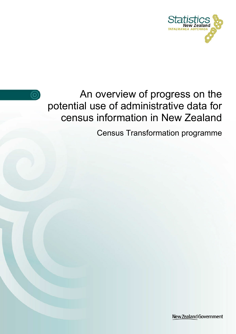



An overview of progress on the potential use of administrative data for census information in New Zealand

Census Transformation programme

New Zealand Government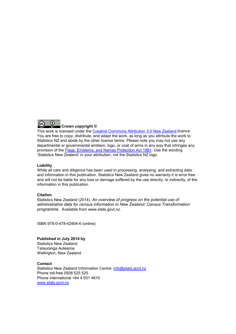

This work is licensed under the [Creative Commons Attribution 3.0 New Zealand](http://creativecommons.org/licenses/by/3.0/nz/deed.en) licence. You are free to copy, distribute, and adapt the work, as long as you attribute the work to Statistics NZ and abide by the other licence terms. Please note you may not use any departmental or governmental emblem, logo, or coat of arms in any way that infringes any provision of the [Flags, Emblems, and Names Protection Act 1981.](http://www.legislation.govt.nz/act/public/1981/0047/latest/DLM51358.html) Use the wording 'Statistics New Zealand' in your attribution, not the Statistics NZ logo.

#### **Liability**

While all care and diligence has been used in processing, analysing, and extracting data and information in this publication, Statistics New Zealand gives no warranty it is error free and will not be liable for any loss or damage suffered by the use directly, or indirectly, of the information in this publication.

#### **Citation**

Statistics New Zealand (2014). An overview of progress on the potential use of administrative data for census information in New Zealand: Census Transformation programme. Available from www.stats.govt.nz.

ISBN 978-0-478-42904-6 (online)

#### **Published in July 2014 by** Statistics New Zealand

Tatauranga Aotearoa Wellington, New Zealand

**Contact** Statistics New Zealand Information Centre: [info@stats.govt.nz](mailto:info@stats.govt.nz) Phone toll-free 0508 525 525 Phone international +64 4 931 4610 [www.stats.govt.nz](http://www.stats.govt.nz/)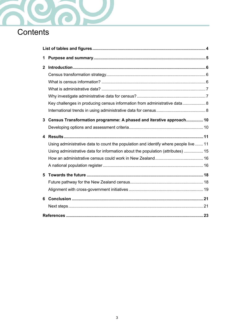

| 1 |                                                                                      |  |
|---|--------------------------------------------------------------------------------------|--|
| 2 |                                                                                      |  |
|   |                                                                                      |  |
|   |                                                                                      |  |
|   | Key challenges in producing census information from administrative data 8            |  |
| 3 | Census Transformation programme: A phased and iterative approach 10                  |  |
|   |                                                                                      |  |
|   |                                                                                      |  |
| 4 |                                                                                      |  |
|   | Using administrative data to count the population and identify where people live  11 |  |
|   | Using administrative data for information about the population (attributes)  15      |  |
|   |                                                                                      |  |
|   |                                                                                      |  |
| 5 |                                                                                      |  |
|   |                                                                                      |  |
|   |                                                                                      |  |
| 6 |                                                                                      |  |
|   |                                                                                      |  |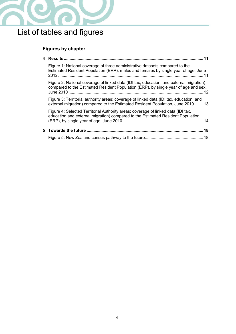

# <span id="page-3-0"></span>List of tables and figures

## **Figures by chapter**

| Figure 1: National coverage of three administrative datasets compared to the<br>Estimated Resident Population (ERP), males and females by single year of age, June             |     |
|--------------------------------------------------------------------------------------------------------------------------------------------------------------------------------|-----|
| Figure 2: National coverage of linked data (IDI tax, education, and external migration)<br>compared to the Estimated Resident Population (ERP), by single year of age and sex, |     |
| Figure 3: Territorial authority areas: coverage of linked data (IDI tax, education, and<br>external migration) compared to the Estimated Resident Population, June 2010 13     |     |
| Figure 4: Selected Territorial Authority areas: coverage of linked data (IDI tax,<br>education and external migration) compared to the Estimated Resident Population           |     |
|                                                                                                                                                                                | .18 |
|                                                                                                                                                                                |     |
|                                                                                                                                                                                |     |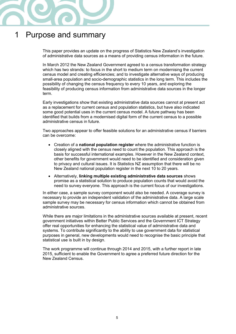

## <span id="page-4-0"></span>1 Purpose and summary

This paper provides an update on the progress of Statistics New Zealand's investigation of administrative data sources as a means of providing census information in the future.

In March 2012 the New Zealand Government agreed to a census transformation strategy which has two strands: to focus in the short to medium term on modernising the current census model and creating efficiencies; and to investigate alternative ways of producing small-area population and socio-demographic statistics in the long term. This includes the possibility of changing the census frequency to every 10 years, and exploring the feasibility of producing census information from administrative data sources in the longer term.

Early investigations show that existing administrative data sources cannot at present act as a replacement for current census and population statistics, but have also indicated some good potential uses in the current census model. A future pathway has been identified that builds from a modernised digital form of the current census to a possible administrative census in future.

Two approaches appear to offer feasible solutions for an administrative census if barriers can be overcome:

- Creation of a national population register where the administrative function is closely aligned with the census need to count the population. This approach is the basis for successful international examples. However in the New Zealand context, other benefits for government would need to be identified and consideration given to privacy and cultural issues. It is Statistics NZ assumption that there will be no New Zealand national population register in the next 10 to 20 years.
- Alternatively, linking multiple existing administrative data sources shows promise as a statistical solution to produce population counts that would avoid the need to survey everyone. This approach is the current focus of our investigations.

In either case, a sample survey component would also be needed. A coverage survey is necessary to provide an independent validation of the administrative data. A large scale sample survey may be necessary for census information which cannot be obtained from administrative sources.

While there are major limitations in the administrative sources available at present, recent government initiatives within Better Public Services and the Government ICT Strategy offer real opportunities for enhancing the statistical value of administrative data and systems. To contribute significantly to the ability to use government data for statistical purposes in general, new developments would need to recognise the basic principle that statistical use is built in by design.

The work programme will continue through 2014 and 2015, with a further report in late 2015, sufficient to enable the Government to agree a preferred future direction for the New Zealand Census.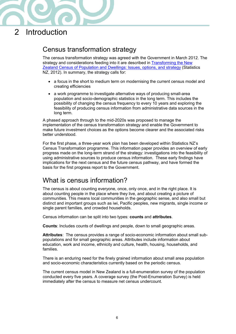

## <span id="page-5-0"></span>2 Introduction

## <span id="page-5-1"></span>Census transformation strategy

The census transformation strategy was agreed with the Government in March 2012. The strategy and considerations feeding into it are described in **Transforming the New** [Zealand Census of Population and Dwellings: Issues, options, and strategy](http://www.stats.govt.nz/methods/research-papers/topss/transforming-nz-census-pop-dwell.aspx) (Statistics NZ, 2012). In summary, the strategy calls for:

- a focus in the short to medium term on modernising the current census model and creating efficiencies
- a work programme to investigate alternative ways of producing small-area population and socio-demographic statistics in the long term. This includes the possibility of changing the census frequency to every 10 years and exploring the feasibility of producing census information from administrative data sources in the long term.

A phased approach through to the mid-2020s was proposed to manage the implementation of the census transformation strategy and enable the Government to make future investment choices as the options become clearer and the associated risks better understood.

For the first phase, a three-year work plan has been developed within Statistics NZ's Census Transformation programme. This information paper provides an overview of early progress made on the long-term strand of the strategy: investigations into the feasibility of using administrative sources to produce census information. These early findings have implications for the next census and the future census pathway, and have formed the basis for the first progress report to the Government.

### <span id="page-5-2"></span>What is census information?

The census is about counting everyone, once, only once, and in the right place. It is about counting people in the place where they live, and about creating a picture of communities. This means local communities in the geographic sense, and also small but distinct and important groups such as iwi, Pacific peoples, new migrants, single income or single parent families, and crowded households.

Census information can be split into two types: counts and attributes.

Counts: Includes counts of dwellings and people, down to small geographic areas.

Attributes: The census provides a range of socio-economic information about small subpopulations and for small geographic areas. Attributes include information about education, work and income, ethnicity and culture, health, housing, households, and families.

There is an enduring need for the finely grained information about small area population and socio-economic characteristics currently based on the periodic census.

The current census model in New Zealand is a full-enumeration survey of the population conducted every five years. A coverage survey (the Post-Enumeration Survey) is held immediately after the census to measure net census undercount.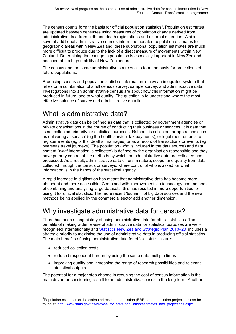The census counts form the basis for official population statistics<sup>[1](#page-6-2)</sup>. Population estimates are updated between censuses using measures of population change derived from administrative data from birth and death registrations and external migration. While several additional administrative sources inform the updated population estimates for geographic areas within New Zealand, these subnational population estimates are much more difficult to produce due to the lack of a direct measure of movements within New Zealand. Determining the change in population is especially important in New Zealand because of the high mobility of New Zealanders.

The census and the same administrative sources also form the basis for projections of future populations.

Producing census and population statistics information is now an integrated system that relies on a combination of a full census survey, sample survey, and administrative data. Investigations into an administrative census are about how this information might be produced in future, and to what quality. The question is to understand where the most effective balance of survey and administrative data lies.

## <span id="page-6-0"></span>What is administrative data?

Administrative data can be defined as data that is collected by government agencies or private organisations in the course of conducting their business or services. It is data that is not collected primarily for statistical purposes. Rather it is collected for operations such as delivering a 'service' (eg the health service, tax payments), or legal requirements to register events (eg births, deaths, marriages) or as a record of transactions or events (eg overseas travel journeys). The population (*who* is included in the data source) and data content (*what* information is collected) is defined by the organisation responsible and they have primary control of the methods by which the administrative data are collected and processed. As a result, administrative data differs in nature, scope, and quality from data collected through the census or surveys, where control of who is asked for what information is in the hands of the statistical agency.

A rapid increase in digitisation has meant that administrative data has become more abundant and more accessible. Combined with improvements in technology and methods of combining and analysing large datasets, this has resulted in more opportunities for using it for official statistics. The more recent 'tsunami' of big data sources and the new methods being applied by the commercial sector add another dimension.

## <span id="page-6-1"></span>Why investigate administrative data for census?

There has been a long history of using administrative data for official statistics. The benefits of making wider re-use of administrative data for statistical purposes are wellrecognised internationally and [Statistics New Zealand Strategic Plan 2010–20](http://www.stats.govt.nz/about_us/what-we-do/our-publications/snz-strategic-plan-2010-20.aspx) includes a strategic priority to maximise the use of administrative data in producing official statistics. The main benefits of using administrative data for official statistics are:

• reduced collection costs

 $\ddot{ }$ 

- reduced respondent burden by using the same data multiple times
- improving quality and increasing the range of research possibilities and relevant statistical outputs.

The potential for a major step change in reducing the cost of census information is the main driver for considering a shift to an administrative census in the long term. Another

<span id="page-6-2"></span><sup>&</sup>lt;sup>1</sup>Population estimates or the estimated resident population (ERP), and population projections can be found at: [http://www.stats.govt.nz/browse\\_for\\_stats/population/estimates\\_and\\_projections.aspx](http://www.stats.govt.nz/browse_for_stats/population/estimates_and_projections.aspx)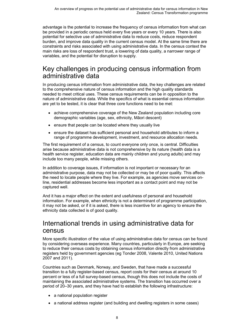advantage is the potential to increase the frequency of census information from what can be provided in a periodic census held every five years or every 10 years. There is also potential for selective use of administrative data to reduce costs, reduce respondent burden, and improve data quality in the current census model. At the same time there are constraints and risks associated with using administrative data. In the census context the main risks are loss of respondent trust, a lowering of data quality, a narrower range of variables, and the potential for disruption to supply.

### <span id="page-7-0"></span>Key challenges in producing census information from administrative data

In producing census information from administrative data, the key challenges are related to the comprehensive nature of census information and the high quality standards needed to meet critical uses. These census requirements can be in opposition to the nature of administrative data. While the specifics of what is essential census information are yet to be tested, it is clear that three core functions need to be met:

- achieve comprehensive coverage of the New Zealand population including core demographic variables (age, sex, ethnicity, Māori descent)
- ensure that people can be located where they usually live
- ensure the dataset has sufficient personal and household attributes to inform a range of programme development, investment, and resource allocation needs.

The first requirement of a census, to count everyone only once, is central. Difficulties arise because administrative data is not comprehensive by its nature (health data is a health service register, education data are mainly children and young adults) and may include too many people, while missing others.

In addition to coverage issues, if information is not important or necessary for an administrative purpose, data may not be collected or may be of poor quality. This affects the need to locate people where they live. For example, as agencies move services online, residential addresses become less important as a contact point and may not be captured well.

And it has a major effect on the extent and usefulness of personal and household information. For example, when ethnicity is not a determinant of programme participation, it may not be asked, or if it is asked, there is less incentive for an agency to ensure the ethnicity data collected is of good quality.

### <span id="page-7-1"></span>International trends in using administrative data for census

More specific illustration of the value of using administrative data for census can be found by considering overseas experience. Many countries, particularly in Europe, are seeking to reduce their census costs by obtaining census information directly from administrative registers held by government agencies (eg Tonder 2008, Valente 2010, United Nations 2007 and 2011).

Countries such as Denmark, Norway, and Sweden, that have made a successful transition to a fully register-based census, report costs for their census at around 10 percent or less of a full survey-based census, though this does not include the costs of maintaining the associated administrative systems. The transition has occurred over a period of 20–30 years, and they have had to establish the following infrastructure:

- a national population register
- a national address register (and building and dwelling registers in some cases)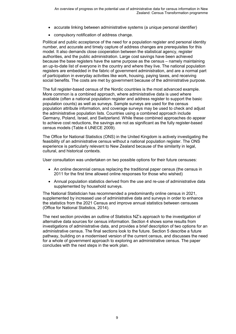- accurate linking between administrative systems (a unique personal identifier)
- compulsory notification of address change.

Political and public acceptance of the need for a population register and personal identity number, and accurate and timely capture of address changes are prerequisites for this model. It also demands close cooperation between the statistical agency, register authorities, and the public administration. Large cost savings have been achieved because the base registers have the same purpose as the census – namely maintaining an up-to-date list of everyone in the country and where they live. The national population registers are embedded in the fabric of government administration, and are a normal part of participation in everyday activities like work, housing, paying taxes, and receiving social benefits. The costs are met by government because of the administrative purpose.

The full register-based census of the Nordic countries is the most advanced example. More common is a combined approach, where administrative data is used where available (often a national population register and address register to support the basic population counts) as well as surveys. Sample surveys are used for the census population attribute information, and coverage surveys may be used to check and adjust the administrative population lists. Countries using a combined approach include Germany, Poland, Israel, and Switzerland. While these combined approaches do appear to achieve cost reductions, the savings are not as significant as the fully register-based census models (Table 4 UNECE 2009).

The Office for National Statistics (ONS) in the United Kingdom is actively investigating the feasibility of an administrative census without a national population register. The ONS experience is particularly relevant to New Zealand because of the similarity in legal, cultural, and historical contexts.

User consultation was undertaken on two possible options for their future censuses:

- An online decennial census replacing the traditional paper census (the census in 2011 for the first time allowed online responses for those who wished)
- Annual population statistics derived from the use and re-use of administrative data supplemented by household surveys.

The National Statistician has recommended a predominantly online census in 2021, supplemented by increased use of administrative data and surveys in order to enhance the statistics from the 2021 Census and improve annual statistics between censuses (Office for National Statistics, 2014).

The next section provides an outline of Statistics NZ's approach to the investigation of alternative data sources for census information. Section 4 shows some results from investigations of administrative data, and provides a brief description of two options for an administrative census. The final sections look to the future. Section 5 describe a future pathway, building on a modernised version of the current census, and discusses the need for a whole of government approach to exploring an administrative census. The paper concludes with the next steps in the work plan.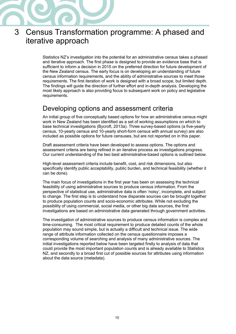

## <span id="page-9-0"></span>3 Census Transformation programme: A phased and iterative approach

Statistics NZ's investigation into the potential for an administrative census takes a phased and iterative approach. The first phase is designed to provide an evidence base that is sufficient to inform a decision in 2015 on the preferred direction for future development of the New Zealand census. The early focus is on developing an understanding of future census information requirements, and the ability of administrative sources to meet those requirements. The first iteration of work is designed with a broad scope, but limited depth. The findings will guide the direction of further effort and in-depth analysis. Developing the most likely approach is also providing focus to subsequent work on policy and legislative requirements.

### <span id="page-9-1"></span>Developing options and assessment criteria

An initial group of five conceptually based options for how an administrative census might work in New Zealand has been identified as a set of working assumptions on which to base technical investigations (Bycroft, 2013a). Three survey-based options (a five-yearly census, 10-yearly census and 10-yearly short-form census with annual survey) are also included as possible options for future censuses, but are not reported on in this paper.

Draft assessment criteria have been developed to assess options. The options and assessment criteria are being refined in an iterative process as investigations progress. Our current understanding of the two best administrative-based options is outlined below.

High-level assessment criteria include benefit, cost, and risk dimensions, but also specifically identify public acceptability, public burden, and technical feasibility (whether it can be done).

The main focus of investigations in the first year has been on assessing the technical feasibility of using administrative sources to produce census information. From the perspective of statistical use, administrative data is often 'noisy', incomplete, and subject to change. The first step is to understand how disparate sources can be brought together to produce population counts and socio-economic attributes. While not excluding the possibility of using commercial, social media, or other big data sources, the first investigations are based on administrative data generated through government activities.

The investigation of administrative sources to produce census information is complex and time-consuming. The most critical requirement to produce detailed counts of the whole population may sound simple, but is actually a difficult and technical issue. The wide range of attribute information collected on the census questionnaire imposes a corresponding volume of searching and analysis of many administrative sources. The initial investigations reported below have been targeted firstly to analysis of data that could provide the most important population counts and is already available to Statistics NZ, and secondly to a broad first cut of possible sources for attributes using information about the data source (metadata).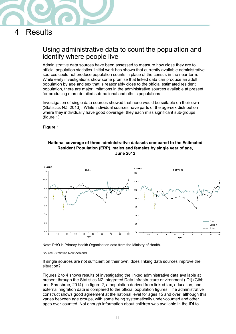

## <span id="page-10-0"></span>4 Results

### <span id="page-10-1"></span>Using administrative data to count the population and identify where people live

Administrative data sources have been assessed to measure how close they are to official population statistics. Initial work has shown that currently available administrative sources could not produce population counts in place of the census in the near term. While early investigations show some promise that linked data can produce an adult population by age and sex that is reasonably close to the official estimated resident population, there are major limitations in the administrative sources available at present for producing more detailed sub-national and ethnic populations.

Investigation of single data sources showed that none would be suitable on their own (Statistics NZ, 2013). While individual sources have parts of the age-sex distribution where they individually have good coverage, they each miss significant sub-groups (figure 1).

#### <span id="page-10-2"></span>**Figure 1**



**National coverage of three administrative datasets compared to the Estimated Resident Population (ERP), males and females by single year of age, June 2012**

Note: PHO is Primary Health Organisation data from the Ministry of Health.

#### Source: Statistics New Zealand

If single sources are not sufficient on their own, does linking data sources improve the situation?

Figures 2 to 4 shows results of investigating the linked administrative data available at present through the Statistics NZ Integrated Data Infrastructure environment (IDI) (Gibb and Shrosbree, 2014). In figure 2, a population derived from linked tax, education, and external migration data is compared to the official population figures. The administrative construct shows good agreement at the national level for ages 15 and over, although this varies between age groups, with some being systematically under-counted and other ages over-counted. Not enough information about children was available in the IDI to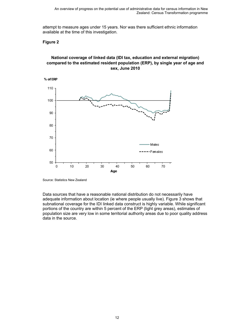attempt to measure ages under 15 years. Nor was there sufficient ethnic information available at the time of this investigation.

#### <span id="page-11-0"></span>**Figure 2**

#### **National coverage of linked data (IDI tax, education and external migration) compared to the estimated resident population (ERP), by single year of age and sex, June 2010**



Source: Statistics New Zealand

Data sources that have a reasonable national distribution do not necessarily have adequate information about location (ie where people usually live). Figure 3 shows that subnational coverage for the IDI linked data construct is highly variable. While significant portions of the country are within 5 percent of the ERP (light grey areas), estimates of population size are very low in some territorial authority areas due to poor quality address data in the source.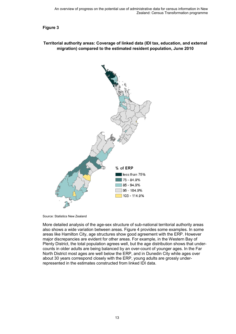<span id="page-12-0"></span>**Figure 3** 

#### **Territorial authority areas: Coverage of linked data (IDI tax, education, and external migration) compared to the estimated resident population, June 2010**



Source: Statistics New Zealand

More detailed analysis of the age-sex structure of sub-national territorial authority areas also shows a wide variation between areas. Figure 4 provides some examples. In some areas like Hamilton City, age structures show good agreement with the ERP. However major discrepancies are evident for other areas. For example, in the Western Bay of Plenty District, the total population agrees well, but the age distribution shows that undercounts in older adults are being balanced by an over-count of younger ages. In the Far North District most ages are well below the ERP, and in Dunedin City while ages over about 30 years correspond closely with the ERP, young adults are grossly underrepresented in the estimates constructed from linked IDI data.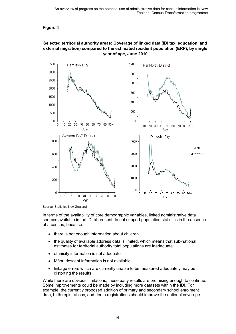#### <span id="page-13-0"></span>**Figure 4**

#### **Selected territorial authority areas: Coverage of linked data (IDI tax, education, and external migration) compared to the estimated resident population (ERP), by single year of age, June 2010**



Source: Statistics New Zealand

In terms of the availability of core demographic variables, linked administrative data sources available in the IDI at present do not support population statistics in the absence of a census, because:

- there is not enough information about children
- the quality of available address data is limited, which means that sub-national estimates for territorial authority total populations are inadequate
- ethnicity information is not adequate
- Māori descent information is not available
- linkage errors which are currently unable to be measured adequately may be distorting the results.

While there are obvious limitations, these early results are promising enough to continue. Some improvements could be made by including more datasets within the IDI. For example, the currently proposed addition of primary and secondary school enrolment data, birth registrations, and death registrations should improve the national coverage.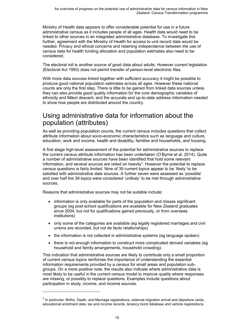Ministry of Health data appears to offer considerable potential for use in a future administrative census as it includes people of all ages. Health data would need to be linked to other sources in an integrated administrative database. To investigate this further, agreement with the Ministry of Health for access to unit record data would be needed. Privacy and ethical concerns and retaining independence between the use of census data for health funding allocation and population estimates also need to be considered.

The electoral roll is another source of good data about adults. However current legislation (Electoral Act 1993) does not permit transfer of person-level electronic files.

With more data sources linked together with sufficient accuracy it might be possible to produce good national population estimates across all ages. However these national counts are only the first step. There is little to be gained from linked data sources unless they can also provide good quality information for the core demographic variables of ethnicity and Māori descent, and the accurate and up-to-date address information needed to show how people are distributed around the country.

### <span id="page-14-0"></span>Using administrative data for information about the population (attributes)

As well as providing population counts, the current census includes questions that collect attribute information about socio-economic characteristics such as language and culture, education, work and income, health and disability, families and households, and housing.

A first stage high-level assessment of the potential for administrative sources to replace the current census attribute information has been undertaken (O'Byrne et al, 2014). Quite a number of administrative sources have been identified that hold some relevant information, and several sources are relied on heavily<sup>[2](#page-14-1)</sup>. However the potential to replace census questions is fairly limited. Nine of 39 current topics appear to be 'likely' to be satisfied with administrative data sources. A further seven were assessed as 'possible' and over half the 39 topics were considered 'unlikely' to be met through administrative sources.

Reasons that administrative sources may not be suitable include:

- information is only available for parts of the population and misses significant groups (eg post-school qualifications are available for New Zealand graduates since 2004, but not for qualifications gained previously, or from overseas institutions)
- only some of the categories are available (eg legally registered marriages and civil unions are recorded, but not de facto relationships)
- the information is not collected in administrative systems (eg language spoken)
- there is not enough information to construct more complicated derived variables (eg household and family arrangements, household crowding).

This indication that administrative sources are likely to contribute only a small proportion of current census topics reinforces the importance of understanding the essential information requirements provided by a census for small areas and population subgroups. On a more positive note, the results also indicate where administrative data is most likely to be useful in the current census model to improve quality where responses are missing, or possibly to replace questions. Examples include questions about participation in study, income, and income sources.

 $\ddot{ }$ 

<span id="page-14-1"></span><sup>&</sup>lt;sup>2</sup> In particular: Births, Death, and Marriage registrations, external migration arrival and departure cards, educational enrolment data, tax and income records, tenancy bond database and vehicle registrations.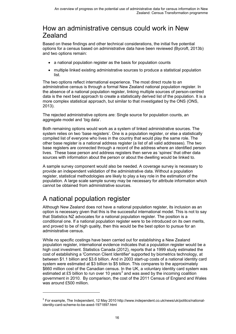### <span id="page-15-0"></span>How an administrative census could work in New Zealand

Based on these findings and other technical considerations, the initial five potential options for a census based on administrative data have been reviewed (Bycroft, 2013b) and two options remain:

- a national population register as the basis for population counts
- multiple linked existing administrative sources to produce a statistical population list.

The two options reflect international experience. The most direct route to an administrative census is through a formal New Zealand national population register. In the absence of a national population register, linking multiple sources of person-centred data is the next best approach to create a statistically derived list of the population. It is a more complex statistical approach, but similar to that investigated by the ONS (ONS, 2013).

The rejected administrative options are: Single source for population counts, an aggregate model and 'big data'.

Both remaining options would work as a system of linked administrative sources. The system relies on two 'base registers'. One is a population register, or else a statistically compiled list of everyone who lives in the country that would play the same role. The other base register is a national address register (a list of all valid addresses). The two base registers are connected through a record of the address where an identified person lives. These base person and address registers then serve as 'spines' that other data sources with information about the person or about the dwelling would be linked to.

A sample survey component would also be needed. A coverage survey is necessary to provide an independent validation of the administrative data. Without a population register, statistical methodologies are likely to play a key role in the estimation of the population. A large scale sample survey may be necessary for attribute information which cannot be obtained from administrative sources.

## <span id="page-15-1"></span>A national population register

 $\overline{a}$ 

Although New Zealand does not have a national population register, its inclusion as an option is necessary given that this is the successful international model. This is not to say that Statistics NZ advocates for a national population register. The position is a conditional one. If a national population register were to be introduced on its own merits, and proved to be of high quality, then this would be the best option to pursue for an administrative census.

While no specific costings have been carried out for establishing a New Zealand population register, international evidence indicates that a population register would be a high cost investment. Statistics Canada (2012), reports that a 1999 study estimated the cost of establishing a 'Common Client Identifier' supported by biometrics technology, at between \$1.1 billion and \$3.6 billion. And in 2003 start-up costs of a national identity card system were estimated at \$3 billion to \$5 billion. This compares to the approximately \$660 million cost of the Canadian census. In the UK, a voluntary identity card system was estimated at £5 billion to run over 10 years<sup>[3](#page-15-2)</sup> and was axed by the incoming coalition government in 2010. By comparison, the cost of the 2011 Census of England and Wales was around £500 million.

<span id="page-15-2"></span><sup>3</sup> For example, The Independent, 12 May 2010 http://www.independent.co.uk/news/uk/politics/nationalidentity-card-scheme-to-be-axed-1971897.html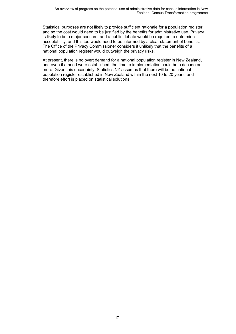Statistical purposes are not likely to provide sufficient rationale for a population register, and so the cost would need to be justified by the benefits for administrative use. Privacy is likely to be a major concern, and a public debate would be required to determine acceptability, and this too would need to be informed by a clear statement of benefits. The Office of the Privacy Commissioner considers it unlikely that the benefits of a national population register would outweigh the privacy risks.

At present, there is no overt demand for a national population register in New Zealand, and even if a need were established, the time to implementation could be a decade or more. Given this uncertainty, Statistics NZ assumes that there will be no national population register established in New Zealand within the next 10 to 20 years, and therefore effort is placed on statistical solutions.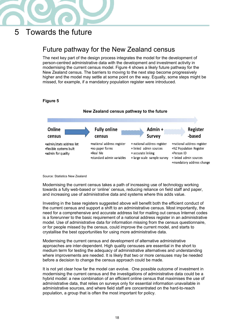

## <span id="page-17-0"></span>5 Towards the future

## <span id="page-17-1"></span>Future pathway for the New Zealand census

The next key part of the design process integrates the model for the development of person-centred administrative data with the development and investment activity in modernising the current census model. Figure 4 shows a likely future pathway for the New Zealand census. The barriers to moving to the next step become progressively higher and the model may settle at some point on the way. Equally, some steps might be missed, for example, if a mandatory population register were introduced.

<span id="page-17-2"></span>

Source: Statistics New Zealand

Modernising the current census takes a path of increasing use of technology working towards a fully web-based or 'online' census, reducing reliance on field staff and paper, and increasing use of administrative data and systems where this adds value.

Investing in the base registers suggested above will benefit both the efficient conduct of the current census and support a shift to an administrative census. Most importantly, the need for a comprehensive and accurate address list for mailing out census Internet codes is a forerunner to the basic requirement of a national address register in an administrative model. Use of administrative data for information missing from the census questionnaire, or for people missed by the census, could improve the current model, and starts to crystallise the best opportunities for using more administrative data.

Modernising the current census and development of alternative administrative approaches are inter-dependent. High quality censuses are essential in the short to medium term for testing the adequacy of administrative alternatives and understanding where improvements are needed. It is likely that two or more censuses may be needed before a decision to change the census approach could be made.

It is not yet clear how far the model can evolve. One possible outcome of investment in modernising the current census and the investigations of administrative data could be a hybrid model: a new combination of an efficient online census that maximises the use of administrative data, that relies on surveys only for essential information unavailable in administrative sources, and where field staff are concentrated on the hard-to-reach population, a group that is often the most important for policy.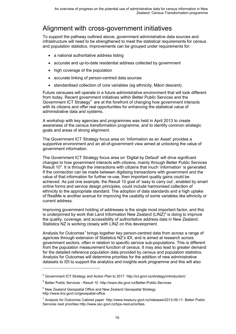## <span id="page-18-0"></span>Alignment with cross-government initiatives

To support the pathway outlined above, government administrative data sources and infrastructure will need to be strengthened to meet the statistical requirements for census and population statistics. Improvements can be grouped under requirements for:

- a national authoritative address listing
- accurate and up-to-date residential address collected by government
- high coverage of the population
- accurate linking of person-centred data sources
- standardised collection of core variables (eg ethnicity, Māori descent).

Future censuses will operate in a future administrative environment that will look different from today. Recent government initiatives within Better Public Services and the Government ICT Strategy<sup>[4](#page-18-1)</sup> are at the forefront of changing how government interacts with its citizens and offer real opportunities for enhancing the statistical value of administrative data and systems.

A workshop with key agencies and programmes was held in April 2013 to create awareness of the census transformation programme, and to identify common strategic goals and areas of strong alignment.

The Government ICT Strategy focus area on 'Information as an Asset' provides a supportive environment and an all-of-government view aimed at unlocking the value of government information.

The Government ICT Strategy focus area on 'Digital by Default' will drive significant changes to how government interacts with citizens, mainly through Better Public Services Result  $10<sup>5</sup>$  $10<sup>5</sup>$  $10<sup>5</sup>$ . It is through the interactions with citizens that much 'information' is generated. If the connection can be made between digitising transactions with government and the value of that information for further re-use, then important quality gains could be achieved. As just one example, the Result 10 goal of 'easy to carry out', enabled by smart online forms and service design principles, could include harmonised collection of ethnicity to the appropriate standard. The adoption of data standards and a high uptake of RealMe is another avenue for improving the usability of some variables like ethnicity or current address.

Improving government holding of addresses is the single most important factor, and this is underpinned by work that Land Information New Zealand  $(LINZ)^6$  $(LINZ)^6$  is doing to improve the quality, coverage, and accessibility of authoritative address data in New Zealand. Statistics NZ is working closely with LINZ on this development.

Analysis for Outcomes<sup>[7](#page-18-4)</sup> brings together key person-centred data from across a range of agencies through extension of Statistics NZ's IDI, and is aimed at research across government sectors, often in relation to specific service sub-populations. This is different from the population measurement function of census. It may also lead to greater demand for the detailed reference population data provided by census and population statistics. Analysis for Outcomes will determine priorities for the addition of new administrative datasets to IDI to support the analytics and insights work programme and this will also

 $\ddot{ }$ 

<sup>4</sup> Government ICT Strategy and Action Plan to 2017 http://ict.govt.nz/strategy/introduction/

<span id="page-18-2"></span><span id="page-18-1"></span><sup>5</sup> Better Public Services - Result 10 http://www.dia.govt.nz/Better-Public-Services

<span id="page-18-3"></span> $6$  New Zealand Geospatial Office and New Zealand Geospatial Strategy http://www.linz.govt.nz/geospatial-office

<span id="page-18-4"></span><sup>7</sup> Analysis for Outcomes Cabinet paper http://www.treasury.govt.nz/releases/2013-09-11: Better Public Services next priorities http://www.ssc.govt.nz/bps-next-priorities.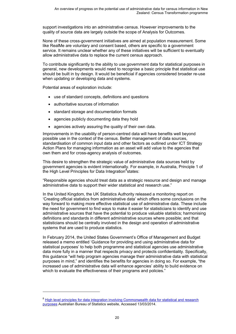support investigations into an administrative census. However improvements to the quality of source data are largely outside the scope of Analysis for Outcomes.

None of these cross-government initiatives are aimed at population measurement. Some like RealMe are voluntary and consent based, others are specific to a government service. It remains unclear whether any of these initiatives will be sufficient to eventually allow administrative data to replace the current census approach.

To contribute significantly to the ability to use government data for statistical purposes in general, new developments would need to recognise a basic principle that statistical use should be built in by design. It would be beneficial if agencies considered broader re-use when updating or developing data and systems.

Potential areas of exploration include:

 $\ddot{ }$ 

- use of standard concepts, definitions and questions
- authoritative sources of information
- standard storage and documentation formats
- agencies publicly documenting data they hold
- agencies actively assuring the quality of their own data.

Improvements in the usability of person-centred data will have benefits well beyond possible use in the context of the census. Better management of data sources, standardisation of common input data and other factors as outlined under ICT Strategy Action Plans for managing information as an asset will add value to the agencies that own them and for cross-agency analysis of outcomes.

This desire to strengthen the strategic value of administrative data sources held by government agencies is evident internationally. For example, in Australia, Principle 1 of the High Level Principles for Data Integration<sup>[8](#page-19-0)</sup>states:

"Responsible agencies should treat data as a strategic resource and design and manage administrative data to support their wider statistical and research use."

In the United Kingdom, the UK Statistics Authority released a monitoring report on 'Creating official statistics from administrative data' which offers some conclusions on the way forward to making more effective statistical use of administrative data. These include the need for government to find ways to make it easier for statisticians to identify and use administrative sources that have the potential to produce valuable statistics; harmonising definitions and standards in different administrative sources where possible; and that statisticians should be centrally involved in the design and operation of administrative systems that are used to produce statistics.

In February 2014, the United States Government's Office of Management and Budget released a memo entitled 'Guidance for providing and using administrative data for statistical purposes' to help both programme and statistical agencies use administrative data more fully in a manner that respects privacy and protects confidentiality. Specifically, this guidance "will help program agencies manage their administrative data with statistical purposes in mind," and identifies the benefits for agencies in doing so. For example, "the increased use of administrative data will enhance agencies' ability to build evidence on which to evaluate the effectiveness of their programs and policies."

<span id="page-19-0"></span><sup>&</sup>lt;sup>8</sup> High level principles for data integration involving Commonwealth data for statistical and research [purposes](http://www.nss.gov.au/nss/home.NSF/pages/High+Level+Principles+for+Data+Integration+-+Content?OpenDocument) Australian Bureau of Statistics website, Accessed 13/03/2014.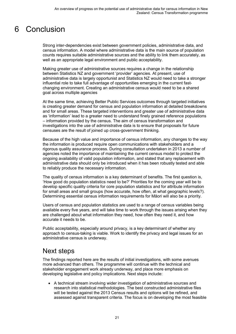## <span id="page-20-0"></span>6 Conclusion

Strong inter-dependencies exist between government policies, administrative data, and census information. A model where administrative data is the main source of population counts requires suitable administrative sources and the ability to link them accurately, as well as an appropriate legal environment and public acceptability.

Making greater use of administrative sources requires a change in the relationship between Statistics NZ and government 'provider' agencies. At present, use of administrative data is largely opportunist and Statistics NZ would need to take a stronger influential role to take full advantage of opportunities emerging in the current fastchanging environment. Creating an administrative census would need to be a shared goal across multiple agencies

At the same time, achieving Better Public Services outcomes through targeted initiatives is creating greater demand for census and population information at detailed breakdowns and for small areas. These targeted interventions and greater use of administrative data as 'information' lead to a greater need to understand finely grained reference populations – information provided by the census. The aim of census transformation and investigations into the use of administrative data is to ensure that proposals for future censuses are the result of joined up cross-government thinking.

Because of the high value and importance of census information, any changes to the way the information is produced require open communications with stakeholders and a rigorous quality assurance process. During consultation undertaken in 2013 a number of agencies noted the importance of maintaining the current census model to protect the ongoing availability of valid population information, and stated that any replacement with administrative data should only be introduced when it has been robustly tested and able to reliably produce the necessary information.

The quality of census information is a key determinant of benefits. The first question is, 'How good do population statistics need to be?' Priorities for the coming year will be to develop specific quality criteria for core population statistics and for attribute information for small areas and small groups (how accurate, how often, at what geographic levels?). Determining essential census information requirements for Māori will also be a priority.

Users of census and population statistics are used to a range of census variables being available every five years, and will take time to work through the issues arising when they are challenged about what information they need, how often they need it, and how accurate it needs to be.

Public acceptability, especially around privacy, is a key determinant of whether any approach to census-taking is viable. Work to identify the privacy and legal issues for an administrative census is underway.

### <span id="page-20-1"></span>Next steps

The findings reported here are the results of initial investigations, with some avenues more advanced than others. The programme will continue with the technical and stakeholder engagement work already underway, and place more emphasis on developing legislative and policy implications. Next steps include:

• A technical stream involving wider investigation of administrative sources and research into statistical methodologies. The best constructed administrative files will be tested against the 2013 Census results and options will be refined, and assessed against transparent criteria. The focus is on developing the most feasible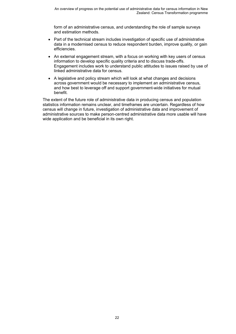form of an administrative census, and understanding the role of sample surveys and estimation methods.

- Part of the technical stream includes investigation of specific use of administrative data in a modernised census to reduce respondent burden, improve quality, or gain efficiencies.
- An external engagement stream, with a focus on working with key users of census information to develop specific quality criteria and to discuss trade-offs. Engagement includes work to understand public attitudes to issues raised by use of linked administrative data for census.
- A legislative and policy stream which will look at what changes and decisions across government would be necessary to implement an administrative census, and how best to leverage off and support government-wide initiatives for mutual benefit.

The extent of the future role of administrative data in producing census and population statistics information remains unclear, and timeframes are uncertain. Regardless of how census will change in future, investigation of administrative data and improvement of administrative sources to make person-centred administrative data more usable will have wide application and be beneficial in its own right.